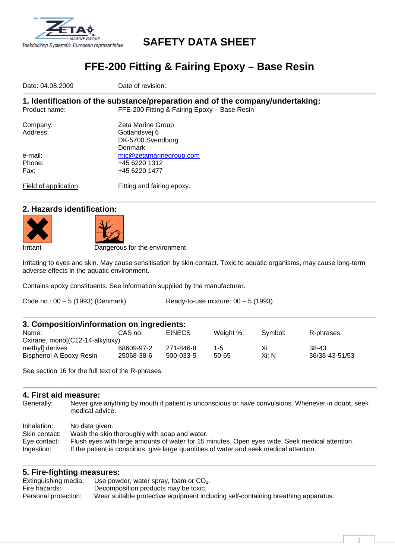

# **SAFETY DATA SHEET**

# **FFE-200 Fitting & Fairing Epoxy – Base Resin**

Date: 04.08.2009 **Date of revision:** 

**1. Identification of the substance/preparation and of the company/undertaking:**  Product name: FFE-200 Fitting & Fairing Epoxy – Base Resin

| Company:<br>Address: | Zeta Marine Group<br>Gotlandsvej 6 |
|----------------------|------------------------------------|
|                      | DK-5700 Svendborg                  |
|                      | Denmark                            |
| e-mail:              | mic@zetamarinegroup.com            |
| Phone:               | +45 6220 1312                      |
| Fax:                 | +45 6220 1477                      |
|                      |                                    |
|                      |                                    |

Field of application: Fitting and fairing epoxy.

## **2. Hazards identification:**





Dangerous for the environment

Irritating to eyes and skin. May cause sensitisation by skin contact. Toxic to aquatic organisms, may cause long-term adverse effects in the aquatic environment.

Contains epoxy constituents. See information supplied by the manufacturer.

Code no.: 00 – 5 (1993) (Denmark) Ready-to-use mixture: 00 – 5 (1993)

| 3. Composition/information on ingredients: |            |               |           |         |                |
|--------------------------------------------|------------|---------------|-----------|---------|----------------|
| Name:                                      | CAS no:    | <b>EINECS</b> | Weight %: | Symbol: | R-phrases:     |
| Oxirane, mono[(C12-14-alkyloxy)            |            |               |           |         |                |
| methyll derives                            | 68609-97-2 | 271-846-8     | $1 - 5$   | Χi      | $38-43$        |
| Bisphenol A Epoxy Resin                    | 25068-38-6 | 500-033-5     | 50-65     | Xi: N   | 36/38-43-51/53 |

See section 16 for the full text of the R-phrases.

#### **4. First aid measure:**

Generally: Never give anything by mouth if patient is unconscious or have convulsions. Whenever in doubt, seek medical advice.

| Inhalation:   | No data given.                                                                                 |
|---------------|------------------------------------------------------------------------------------------------|
| Skin contact: | Wash the skin thoroughly with soap and water.                                                  |
| Eye contact:  | Flush eyes with large amounts of water for 15 minutes. Open eyes wide. Seek medical attention. |
| Ingestion:    | If the patient is conscious, give large quantities of water and seek medical attention.        |

## **5. Fire-fighting measures:**

| Extinguishing media: | Use powder, water spray, foam or $CO2$ .                                          |
|----------------------|-----------------------------------------------------------------------------------|
| Fire hazards:        | Decomposition products may be toxic.                                              |
| Personal protection: | Wear suitable protective equipment including self-containing breathing apparatus. |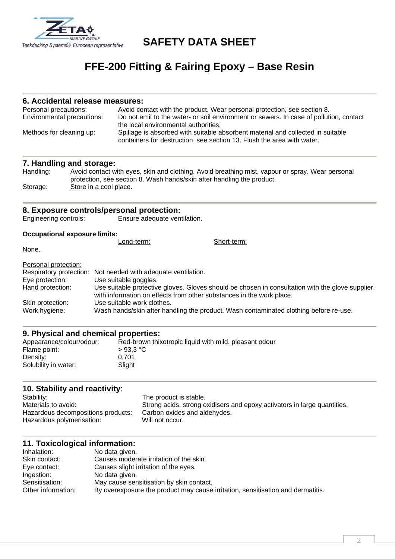

## **SAFETY DATA SHEET**

# **FFE-200 Fitting & Fairing Epoxy – Base Resin**

## **6. Accidental release measures:**

| Personal precautions:<br>Environmental precautions: | Avoid contact with the product. Wear personal protection, see section 8.<br>Do not emit to the water- or soil environment or sewers. In case of pollution, contact |
|-----------------------------------------------------|--------------------------------------------------------------------------------------------------------------------------------------------------------------------|
|                                                     | the local environmental authorities.                                                                                                                               |
| Methods for cleaning up:                            | Spillage is absorbed with suitable absorbent material and collected in suitable<br>containers for destruction, see section 13. Flush the area with water.          |

#### **7. Handling and storage:**

| Handling: | Avoid contact with eyes, skin and clothing. Avoid breathing mist, vapour or spray. Wear personal |
|-----------|--------------------------------------------------------------------------------------------------|
|           | protection, see section 8. Wash hands/skin after handling the product.                           |
| Storage:  | Store in a cool place.                                                                           |

#### **8. Exposure controls/personal protection:**

Engineering controls: Ensure adequate ventilation.

#### **Occupational exposure limits:**

|                      | Long-term:                                                           | Short-term:                                                                                      |
|----------------------|----------------------------------------------------------------------|--------------------------------------------------------------------------------------------------|
| None.                |                                                                      |                                                                                                  |
| Personal protection: |                                                                      |                                                                                                  |
|                      | Respiratory protection: Not needed with adequate ventilation.        |                                                                                                  |
| Eye protection:      | Use suitable goggles.                                                |                                                                                                  |
| Hand protection:     | with information on effects from other substances in the work place. | Use suitable protective gloves. Gloves should be chosen in consultation with the glove supplier, |
| Skin protection:     | Use suitable work clothes.                                           |                                                                                                  |
| Work hygiene:        |                                                                      | Wash hands/skin after handling the product. Wash contaminated clothing before re-use.            |

#### **9. Physical and chemical properties:**

| Appearance/colour/odour: | Red-brown thixotropic liquid with mild, pleasant odour |
|--------------------------|--------------------------------------------------------|
| Flame point:             | $>93.3$ °C                                             |
| Density:                 | 0.701                                                  |
| Solubility in water:     | Slight                                                 |
|                          |                                                        |

## **10. Stability and reactivity**:

Stability: The product is stable.<br>
Materials to avoid: Strong acids. strong o Strong acids, strong oxidisers and epoxy activators in large quantities.<br>Carbon oxides and aldehydes. Hazardous decompositions products: Hazardous polymerisation: Will not occur.

## **11. Toxicological information:**

| Inhalation:        | No data given.                                                                  |
|--------------------|---------------------------------------------------------------------------------|
| Skin contact:      | Causes moderate irritation of the skin.                                         |
| Eye contact:       | Causes slight irritation of the eyes.                                           |
| Ingestion:         | No data given.                                                                  |
| Sensitisation:     | May cause sensitisation by skin contact.                                        |
| Other information: | By overexposure the product may cause irritation, sensitisation and dermatitis. |